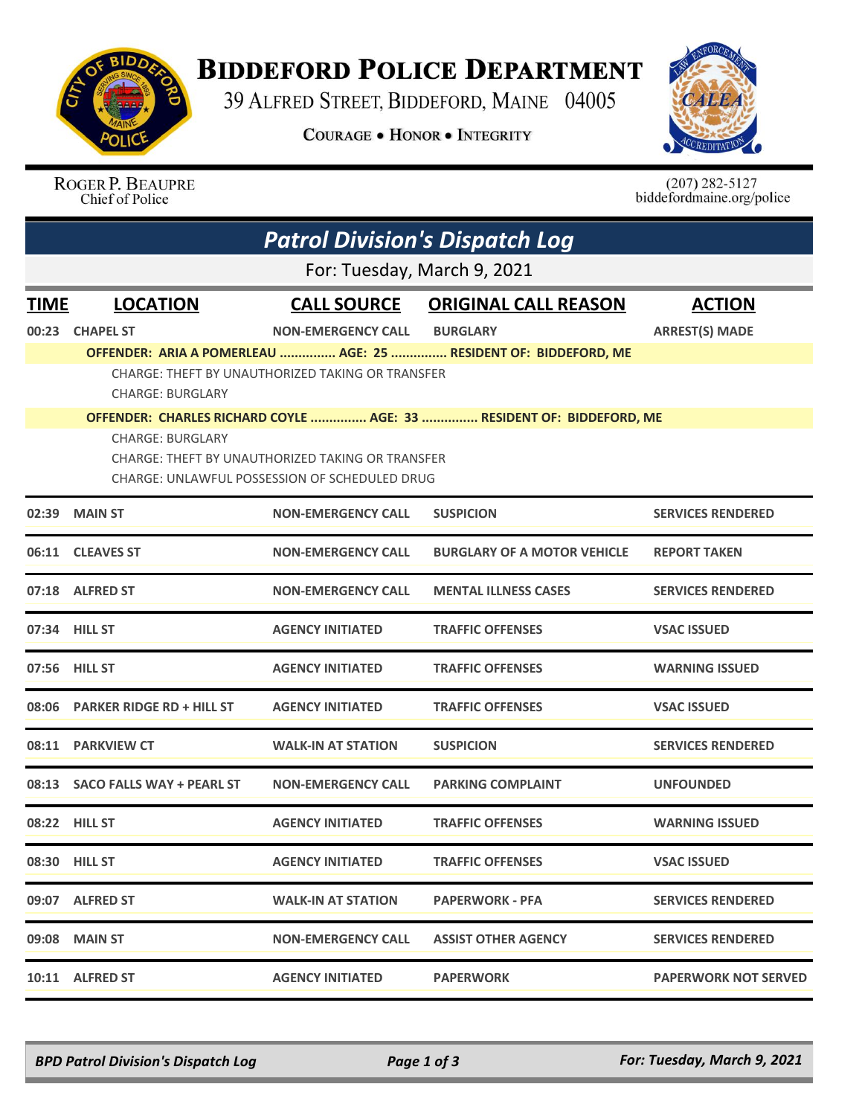

## **BIDDEFORD POLICE DEPARTMENT**

39 ALFRED STREET, BIDDEFORD, MAINE 04005

**COURAGE . HONOR . INTEGRITY** 



ROGER P. BEAUPRE Chief of Police

 $(207)$  282-5127<br>biddefordmaine.org/police

|             | <b>Patrol Division's Dispatch Log</b> |                                                  |                                                                      |                             |  |  |  |  |
|-------------|---------------------------------------|--------------------------------------------------|----------------------------------------------------------------------|-----------------------------|--|--|--|--|
|             | For: Tuesday, March 9, 2021           |                                                  |                                                                      |                             |  |  |  |  |
| <b>TIME</b> | <b>LOCATION</b>                       | <b>CALL SOURCE</b>                               | <b>ORIGINAL CALL REASON</b>                                          | <b>ACTION</b>               |  |  |  |  |
| 00:23       | <b>CHAPEL ST</b>                      | <b>NON-EMERGENCY CALL</b>                        | <b>BURGLARY</b>                                                      | <b>ARREST(S) MADE</b>       |  |  |  |  |
|             |                                       |                                                  | OFFENDER: ARIA A POMERLEAU  AGE: 25  RESIDENT OF: BIDDEFORD, ME      |                             |  |  |  |  |
|             | <b>CHARGE: BURGLARY</b>               | CHARGE: THEFT BY UNAUTHORIZED TAKING OR TRANSFER |                                                                      |                             |  |  |  |  |
|             |                                       |                                                  | OFFENDER: CHARLES RICHARD COYLE  AGE: 33  RESIDENT OF: BIDDEFORD, ME |                             |  |  |  |  |
|             | <b>CHARGE: BURGLARY</b>               | CHARGE: THEFT BY UNAUTHORIZED TAKING OR TRANSFER |                                                                      |                             |  |  |  |  |
|             |                                       | CHARGE: UNLAWFUL POSSESSION OF SCHEDULED DRUG    |                                                                      |                             |  |  |  |  |
| 02:39       | <b>MAIN ST</b>                        | <b>NON-EMERGENCY CALL</b>                        | <b>SUSPICION</b>                                                     | <b>SERVICES RENDERED</b>    |  |  |  |  |
| 06:11       | <b>CLEAVES ST</b>                     | <b>NON-EMERGENCY CALL</b>                        | <b>BURGLARY OF A MOTOR VEHICLE</b>                                   | <b>REPORT TAKEN</b>         |  |  |  |  |
|             | 07:18 ALFRED ST                       | <b>NON-EMERGENCY CALL</b>                        | <b>MENTAL ILLNESS CASES</b>                                          | <b>SERVICES RENDERED</b>    |  |  |  |  |
|             | 07:34 HILL ST                         | <b>AGENCY INITIATED</b>                          | <b>TRAFFIC OFFENSES</b>                                              | <b>VSAC ISSUED</b>          |  |  |  |  |
|             | 07:56 HILL ST                         | <b>AGENCY INITIATED</b>                          | <b>TRAFFIC OFFENSES</b>                                              | <b>WARNING ISSUED</b>       |  |  |  |  |
| 08:06       | <b>PARKER RIDGE RD + HILL ST</b>      | <b>AGENCY INITIATED</b>                          | <b>TRAFFIC OFFENSES</b>                                              | <b>VSAC ISSUED</b>          |  |  |  |  |
| 08:11       | <b>PARKVIEW CT</b>                    | <b>WALK-IN AT STATION</b>                        | <b>SUSPICION</b>                                                     | <b>SERVICES RENDERED</b>    |  |  |  |  |
|             | 08:13 SACO FALLS WAY + PEARL ST       | <b>NON-EMERGENCY CALL</b>                        | <b>PARKING COMPLAINT</b>                                             | <b>UNFOUNDED</b>            |  |  |  |  |
|             | 08:22 HILL ST                         | <b>AGENCY INITIATED</b>                          | <b>TRAFFIC OFFENSES</b>                                              | <b>WARNING ISSUED</b>       |  |  |  |  |
|             | 08:30 HILL ST                         | <b>AGENCY INITIATED</b>                          | <b>TRAFFIC OFFENSES</b>                                              | <b>VSAC ISSUED</b>          |  |  |  |  |
|             | 09:07 ALFRED ST                       | <b>WALK-IN AT STATION</b>                        | <b>PAPERWORK - PFA</b>                                               | <b>SERVICES RENDERED</b>    |  |  |  |  |
| 09:08       | <b>MAIN ST</b>                        | <b>NON-EMERGENCY CALL</b>                        | <b>ASSIST OTHER AGENCY</b>                                           | <b>SERVICES RENDERED</b>    |  |  |  |  |
|             | 10:11 ALFRED ST                       | <b>AGENCY INITIATED</b>                          | <b>PAPERWORK</b>                                                     | <b>PAPERWORK NOT SERVED</b> |  |  |  |  |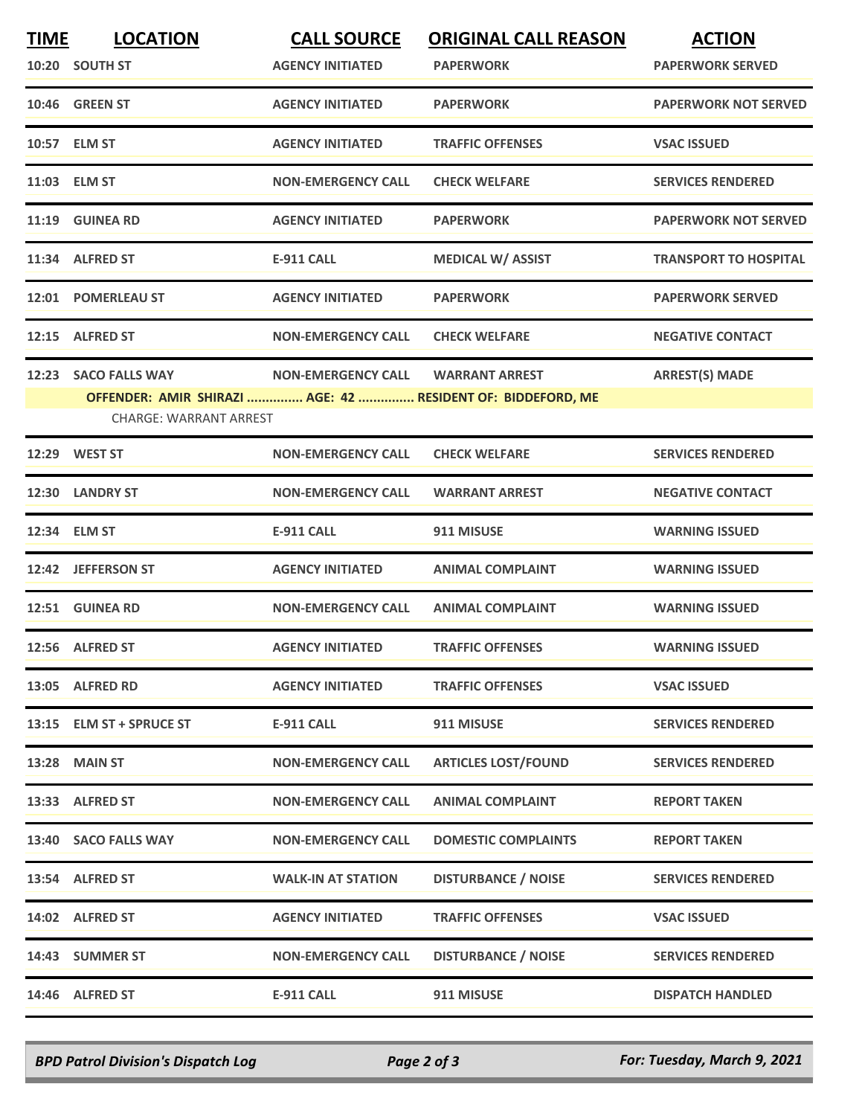| <b>TIME</b> | <b>LOCATION</b>                                             | <b>CALL SOURCE</b>        | <b>ORIGINAL CALL REASON</b> | <b>ACTION</b>                |
|-------------|-------------------------------------------------------------|---------------------------|-----------------------------|------------------------------|
|             | 10:20 SOUTH ST                                              | <b>AGENCY INITIATED</b>   | <b>PAPERWORK</b>            | <b>PAPERWORK SERVED</b>      |
|             | 10:46 GREEN ST                                              | <b>AGENCY INITIATED</b>   | <b>PAPERWORK</b>            | <b>PAPERWORK NOT SERVED</b>  |
|             | 10:57 ELM ST                                                | <b>AGENCY INITIATED</b>   | <b>TRAFFIC OFFENSES</b>     | <b>VSAC ISSUED</b>           |
|             | 11:03 ELM ST                                                | <b>NON-EMERGENCY CALL</b> | <b>CHECK WELFARE</b>        | <b>SERVICES RENDERED</b>     |
|             | 11:19 GUINEA RD                                             | <b>AGENCY INITIATED</b>   | <b>PAPERWORK</b>            | <b>PAPERWORK NOT SERVED</b>  |
|             | 11:34 ALFRED ST                                             | <b>E-911 CALL</b>         | <b>MEDICAL W/ ASSIST</b>    | <b>TRANSPORT TO HOSPITAL</b> |
|             | 12:01 POMERLEAU ST                                          | <b>AGENCY INITIATED</b>   | <b>PAPERWORK</b>            | <b>PAPERWORK SERVED</b>      |
|             | 12:15 ALFRED ST                                             | <b>NON-EMERGENCY CALL</b> | <b>CHECK WELFARE</b>        | <b>NEGATIVE CONTACT</b>      |
|             | 12:23 SACO FALLS WAY                                        | <b>NON-EMERGENCY CALL</b> | <b>WARRANT ARREST</b>       | <b>ARREST(S) MADE</b>        |
|             | OFFENDER: AMIR SHIRAZI  AGE: 42  RESIDENT OF: BIDDEFORD, ME |                           |                             |                              |
|             | <b>CHARGE: WARRANT ARREST</b>                               |                           |                             |                              |
|             | 12:29 WEST ST                                               | <b>NON-EMERGENCY CALL</b> | <b>CHECK WELFARE</b>        | <b>SERVICES RENDERED</b>     |
|             | 12:30 LANDRY ST                                             | <b>NON-EMERGENCY CALL</b> | <b>WARRANT ARREST</b>       | <b>NEGATIVE CONTACT</b>      |
|             | 12:34 ELM ST                                                | <b>E-911 CALL</b>         | 911 MISUSE                  | <b>WARNING ISSUED</b>        |
|             | 12:42 JEFFERSON ST                                          | <b>AGENCY INITIATED</b>   | <b>ANIMAL COMPLAINT</b>     | <b>WARNING ISSUED</b>        |
|             | 12:51 GUINEA RD                                             | <b>NON-EMERGENCY CALL</b> | <b>ANIMAL COMPLAINT</b>     | <b>WARNING ISSUED</b>        |
|             | 12:56 ALFRED ST                                             | <b>AGENCY INITIATED</b>   | <b>TRAFFIC OFFENSES</b>     | <b>WARNING ISSUED</b>        |
|             | 13:05 ALFRED RD                                             | <b>AGENCY INITIATED</b>   | <b>TRAFFIC OFFENSES</b>     | <b>VSAC ISSUED</b>           |
|             | 13:15 ELM ST + SPRUCE ST                                    | E-911 CALL                | 911 MISUSE                  | <b>SERVICES RENDERED</b>     |
|             | 13:28 MAIN ST                                               | <b>NON-EMERGENCY CALL</b> | <b>ARTICLES LOST/FOUND</b>  | <b>SERVICES RENDERED</b>     |
|             | 13:33 ALFRED ST                                             | <b>NON-EMERGENCY CALL</b> | <b>ANIMAL COMPLAINT</b>     | <b>REPORT TAKEN</b>          |
|             | 13:40 SACO FALLS WAY                                        | <b>NON-EMERGENCY CALL</b> | <b>DOMESTIC COMPLAINTS</b>  | <b>REPORT TAKEN</b>          |
|             | 13:54 ALFRED ST                                             | <b>WALK-IN AT STATION</b> | <b>DISTURBANCE / NOISE</b>  | <b>SERVICES RENDERED</b>     |
|             | 14:02 ALFRED ST                                             | <b>AGENCY INITIATED</b>   | <b>TRAFFIC OFFENSES</b>     | <b>VSAC ISSUED</b>           |
|             | 14:43 SUMMER ST                                             | <b>NON-EMERGENCY CALL</b> | <b>DISTURBANCE / NOISE</b>  | <b>SERVICES RENDERED</b>     |
|             | 14:46 ALFRED ST                                             | E-911 CALL                | 911 MISUSE                  | <b>DISPATCH HANDLED</b>      |

*BPD Patrol Division's Dispatch Log Page 2 of 3 For: Tuesday, March 9, 2021*